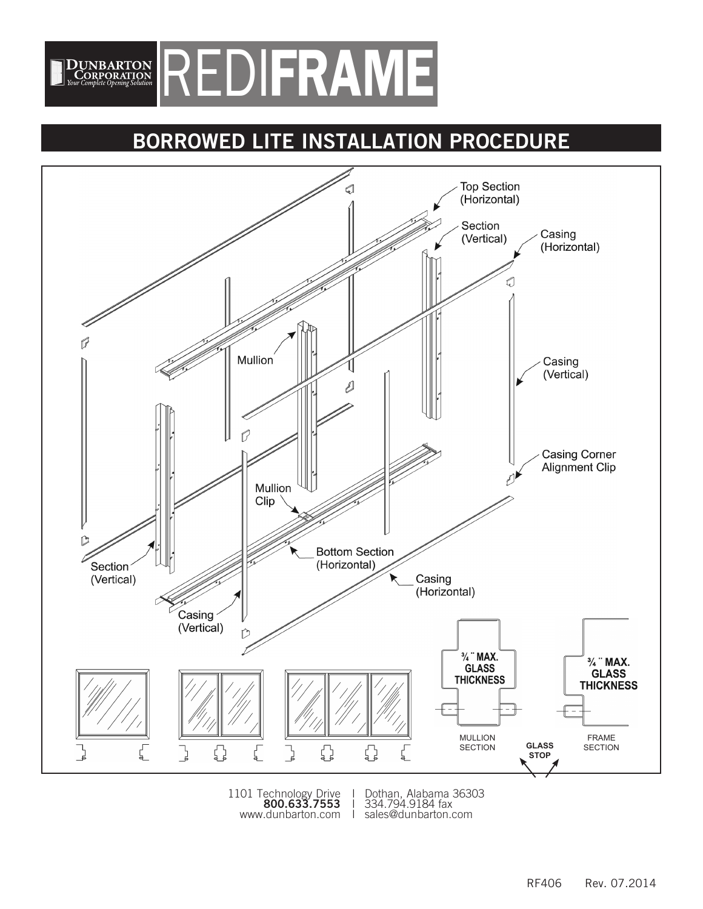

# **BORROWED LITE INSTALLATION PROCEDURE**



1101 Technology Drive I Dothan, Alabama 363<br>**800.633.7553** 1 334.794.9184 fax<br>www.dunbarton.com 1 sales@dunbarton.com

1101 Technology Drive I Dothan, Alabama 36303 800.633.7553 | 334.794.9184 fax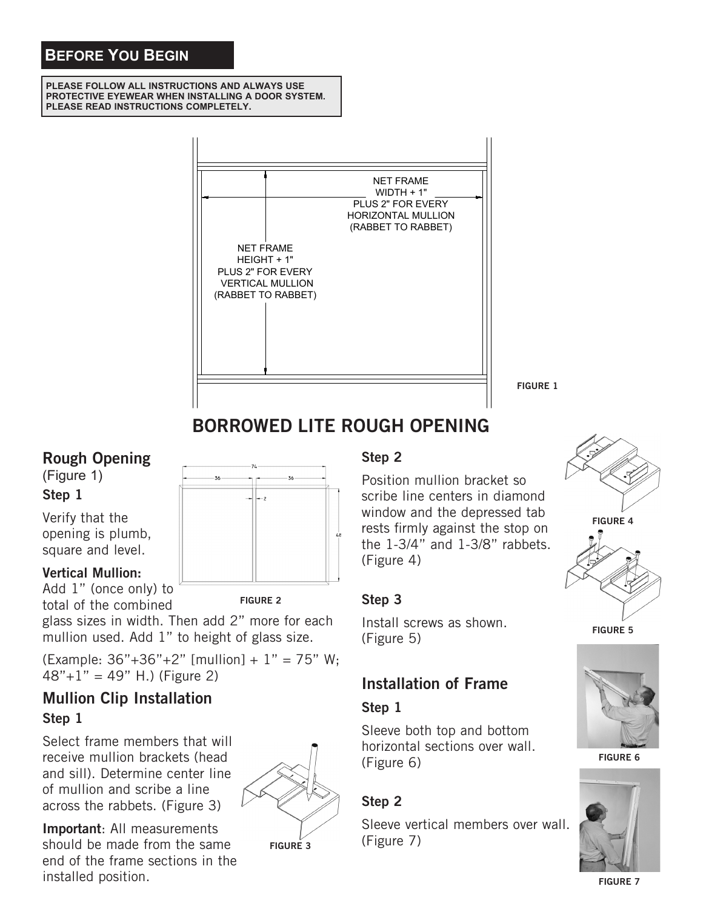# **BEFORE YOU BEGIN**

**PLEASE FOLLOW ALL INSTRUCTIONS AND ALWAYS USE PROTECTIVE EYEWEAR WHEN INSTALLING A DOOR SYSTEM. PLEASE READ INSTRUCTIONS COMPLETELY.**



**FIGURE 1**

# **BORROWED LITE ROUGH OPENING**

### **Rough Opening**

(Figure 1) **Step 1**

Verify that the opening is plumb, square and level.

#### **Vertical Mullion:**

Add 1" (once only) to total of the combined

glass sizes in width. Then add 2" more for each mullion used. Add 1" to height of glass size.

(Example:  $36" + 36" + 2"$  [mullion] +  $1" = 75"$  W;  $48" + 1" = 49"$  H.) (Figure 2)

### **Mullion Clip Installation Step 1**

Select frame members that will receive mullion brackets (head and sill). Determine center line of mullion and scribe a line across the rabbets. (Figure 3)



**FIGURE 2**

**Important**: All measurements should be made from the same end of the frame sections in the installed position.

#### **FIGURE 3**

# Step 2

<u>solition</u><br>
Position mullion bracket so scribe line centers in diamond window and the depressed tab rests firmly against the stop on the 1-3/4" and 1-3/8" rabbets. (Figure 4)

#### **Step 3**

Install screws as shown. (Figure 5)

### **Installation of Frame**

#### **Step 1**

Sleeve both top and bottom horizontal sections over wall. (Figure 6)

#### **Step 2**

Sleeve vertical members over wall. (Figure 7)









**FIGURE 6**



**FIGURE 7**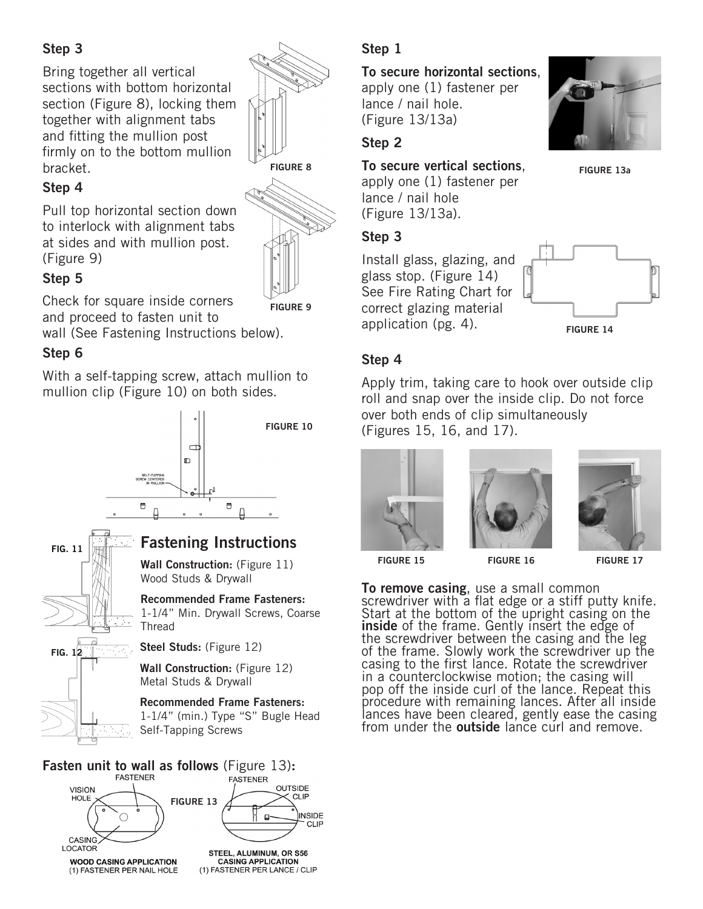### **Step 3**

Bring together all vertical sections with bottom horizontal section (Figure 8), locking them together with alignment tabs and fitting the mullion post firmly on to the bottom mullion bracket.

#### **Step 4**

Pull top horizontal section down to interlock with alignment tabs at sides and with mullion post. (Figure 9)

#### **Step 5**

Check for square inside corners and proceed to fasten unit to

**FIGURE 9**

wall (See Fastening Instructions below).

# **Step 6**

With a self-tapping screw, attach mullion to mullion clip (Figure 10) on both sides.





# **Step 1**

#### **To secure horizontal sections**, apply one (1) fastener per lance / nail hole. (Figure 13/13a)

**Step 2**

### **To secure vertical sections**, **FIGURE 13a FIGURE 8**

apply one (1) fastener per lance / nail hole (Figure 13/13a).

#### **Step 3**

Install glass, glazing, and glass stop. (Figure 14) See Fire Rating Chart for correct glazing material application (pg. 4).



# **Step 4**

Apply trim, taking care to hook over outside clip roll and snap over the inside clip. Do not force over both ends of clip simultaneously (Figures 15, 16, and 17).







**FIGURE 15 FIGURE 16 FIGURE 17**

**To remove casing**, use a small common screwdriver with a flat edge or a stiff putty knife. Start at the bottom of the upright casing on the **inside** of the frame. Gently insert the edge of the screwdriver between the casing and the leg of the frame. Slowly work the screwdriver up the casing to the first lance. Rotate the screwdriver in a counterclockwise motion; the casing will pop off the inside curl of the lance. Repeat this procedure with remaining lances. After all inside lances have been cleared, gently ease the casing from under the **outside** lance curl and remove.